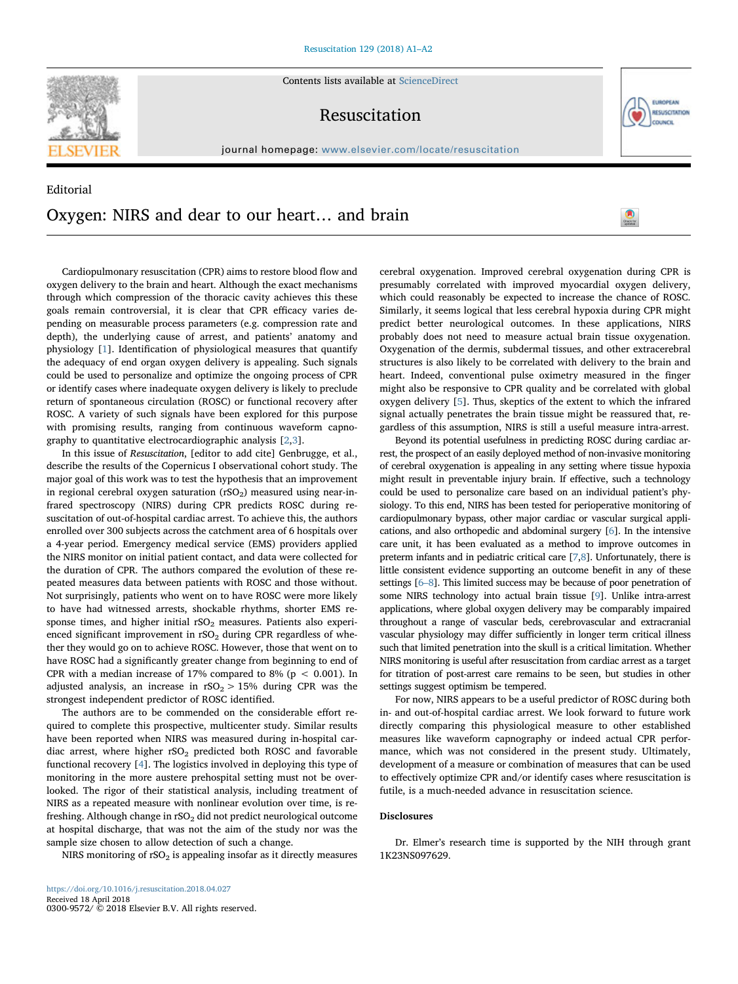**SEVIER** 

Contents lists available at ScienceDirect

# Resuscitation

journal homepage: www.elsevier.com/locate/resuscitation

# Editorial Oxygen: NIRS and dear to our heart… and brain



EUROPEAN **RESUSCITATION** COUNCIL

Cardiopulmonary resuscitation (CPR) aims to restore blood flow and oxygen delivery to the brain and heart. Although the exact mechanisms through which compression of the thoracic cavity achieves this these goals remain controversial, it is clear that CPR efficacy varies depending on measurable process parameters (e.g. compression rate and depth), the underlying cause of arrest, and patients' anatomy and physiology [\[1\]](#page-1-0). Identification of physiological measures that quantify the adequacy of end organ oxygen delivery is appealing. Such signals could be used to personalize and optimize the ongoing process of CPR or identify cases where inadequate oxygen delivery is likely to preclude return of spontaneous circulation (ROSC) or functional recovery after ROSC. A variety of such signals have been explored for this purpose with promising results, ranging from continuous waveform capnography to quantitative electrocardiographic analysis [\[2,](#page-1-1)[3](#page-1-2)].

In this issue of Resuscitation, [editor to add cite] Genbrugge, et al., describe the results of the Copernicus I observational cohort study. The major goal of this work was to test the hypothesis that an improvement in regional cerebral oxygen saturation  $(rSO<sub>2</sub>)$  measured using near-infrared spectroscopy (NIRS) during CPR predicts ROSC during resuscitation of out-of-hospital cardiac arrest. To achieve this, the authors enrolled over 300 subjects across the catchment area of 6 hospitals over a 4-year period. Emergency medical service (EMS) providers applied the NIRS monitor on initial patient contact, and data were collected for the duration of CPR. The authors compared the evolution of these repeated measures data between patients with ROSC and those without. Not surprisingly, patients who went on to have ROSC were more likely to have had witnessed arrests, shockable rhythms, shorter EMS response times, and higher initial  $rSO<sub>2</sub>$  measures. Patients also experienced significant improvement in  $rSO<sub>2</sub>$  during CPR regardless of whether they would go on to achieve ROSC. However, those that went on to have ROSC had a significantly greater change from beginning to end of CPR with a median increase of 17% compared to 8% ( $p < 0.001$ ). In adjusted analysis, an increase in  $rSO<sub>2</sub> > 15%$  during CPR was the strongest independent predictor of ROSC identified.

The authors are to be commended on the considerable effort required to complete this prospective, multicenter study. Similar results have been reported when NIRS was measured during in-hospital cardiac arrest, where higher  $rSO_2$  predicted both ROSC and favorable functional recovery [[4](#page-1-3)]. The logistics involved in deploying this type of monitoring in the more austere prehospital setting must not be overlooked. The rigor of their statistical analysis, including treatment of NIRS as a repeated measure with nonlinear evolution over time, is refreshing. Although change in rSO<sub>2</sub> did not predict neurological outcome at hospital discharge, that was not the aim of the study nor was the sample size chosen to allow detection of such a change.

NIRS monitoring of  $rSO<sub>2</sub>$  is appealing insofar as it directly measures

cerebral oxygenation. Improved cerebral oxygenation during CPR is presumably correlated with improved myocardial oxygen delivery, which could reasonably be expected to increase the chance of ROSC. Similarly, it seems logical that less cerebral hypoxia during CPR might predict better neurological outcomes. In these applications, NIRS probably does not need to measure actual brain tissue oxygenation. Oxygenation of the dermis, subdermal tissues, and other extracerebral structures is also likely to be correlated with delivery to the brain and heart. Indeed, conventional pulse oximetry measured in the finger might also be responsive to CPR quality and be correlated with global oxygen delivery [\[5\]](#page-1-4). Thus, skeptics of the extent to which the infrared signal actually penetrates the brain tissue might be reassured that, regardless of this assumption, NIRS is still a useful measure intra-arrest.

Beyond its potential usefulness in predicting ROSC during cardiac arrest, the prospect of an easily deployed method of non-invasive monitoring of cerebral oxygenation is appealing in any setting where tissue hypoxia might result in preventable injury brain. If effective, such a technology could be used to personalize care based on an individual patient's physiology. To this end, NIRS has been tested for perioperative monitoring of cardiopulmonary bypass, other major cardiac or vascular surgical applications, and also orthopedic and abdominal surgery [[6\]](#page-1-5). In the intensive care unit, it has been evaluated as a method to improve outcomes in preterm infants and in pediatric critical care [[7,](#page-1-6)[8](#page-1-7)]. Unfortunately, there is little consistent evidence supporting an outcome benefit in any of these settings [6–[8](#page-1-5)]. This limited success may be because of poor penetration of some NIRS technology into actual brain tissue [\[9](#page-1-8)]. Unlike intra-arrest applications, where global oxygen delivery may be comparably impaired throughout a range of vascular beds, cerebrovascular and extracranial vascular physiology may differ sufficiently in longer term critical illness such that limited penetration into the skull is a critical limitation. Whether NIRS monitoring is useful after resuscitation from cardiac arrest as a target for titration of post-arrest care remains to be seen, but studies in other settings suggest optimism be tempered.

For now, NIRS appears to be a useful predictor of ROSC during both in- and out-of-hospital cardiac arrest. We look forward to future work directly comparing this physiological measure to other established measures like waveform capnography or indeed actual CPR performance, which was not considered in the present study. Ultimately, development of a measure or combination of measures that can be used to effectively optimize CPR and/or identify cases where resuscitation is futile, is a much-needed advance in resuscitation science.

## Disclosures

Dr. Elmer's research time is supported by the NIH through grant 1K23NS097629.